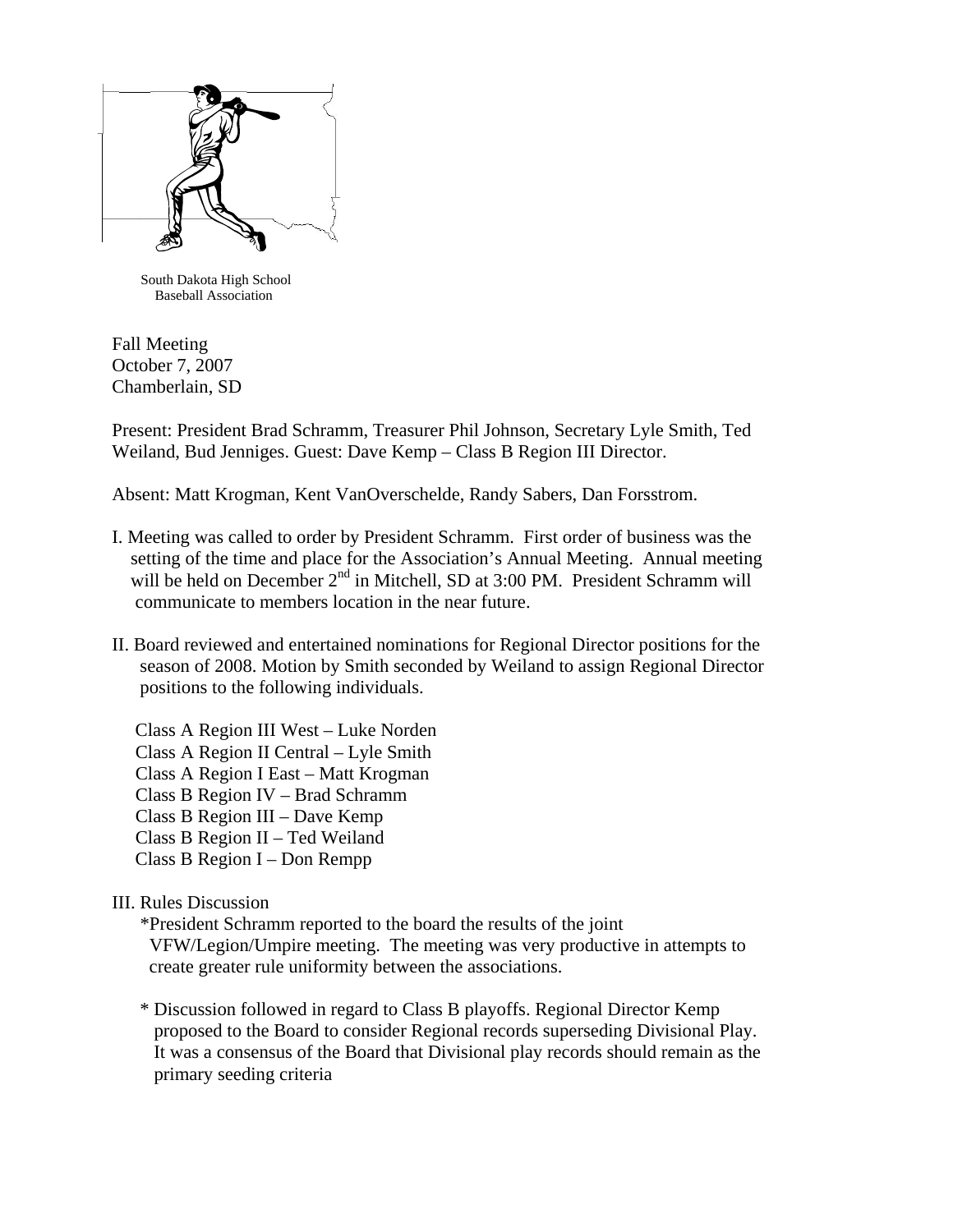

 South Dakota High School Baseball Association

Fall Meeting October 7, 2007 Chamberlain, SD

Present: President Brad Schramm, Treasurer Phil Johnson, Secretary Lyle Smith, Ted Weiland, Bud Jenniges. Guest: Dave Kemp – Class B Region III Director.

Absent: Matt Krogman, Kent VanOverschelde, Randy Sabers, Dan Forsstrom.

- I. Meeting was called to order by President Schramm. First order of business was the setting of the time and place for the Association's Annual Meeting. Annual meeting will be held on December 2<sup>nd</sup> in Mitchell, SD at 3:00 PM. President Schramm will communicate to members location in the near future.
- II. Board reviewed and entertained nominations for Regional Director positions for the season of 2008. Motion by Smith seconded by Weiland to assign Regional Director positions to the following individuals.

 Class A Region III West – Luke Norden Class A Region II Central – Lyle Smith Class A Region I East – Matt Krogman Class B Region IV – Brad Schramm Class B Region III – Dave Kemp Class B Region II – Ted Weiland Class B Region I – Don Rempp

## III. Rules Discussion

 \*President Schramm reported to the board the results of the joint VFW/Legion/Umpire meeting. The meeting was very productive in attempts to create greater rule uniformity between the associations.

 \* Discussion followed in regard to Class B playoffs. Regional Director Kemp proposed to the Board to consider Regional records superseding Divisional Play. It was a consensus of the Board that Divisional play records should remain as the primary seeding criteria